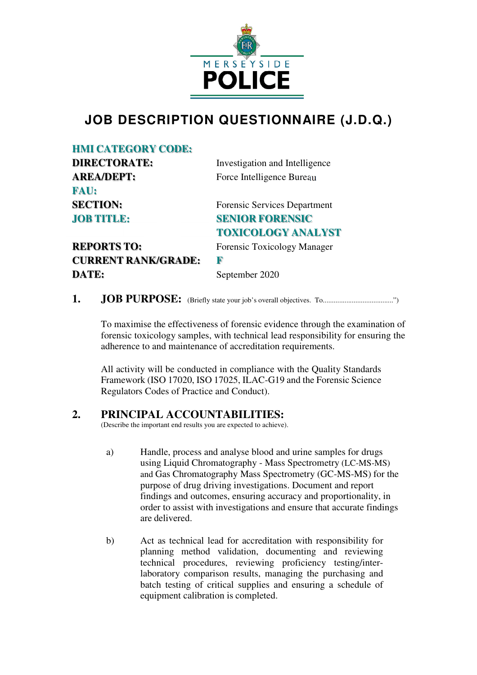

# **JOB DESCRIPTION QUESTIONNAIRE (J.D.Q.)**

## **HMI CATEGORY CODE:**

| <b>DIRECTORATE:</b>        | Investigation and Intelligence      |
|----------------------------|-------------------------------------|
| <b>AREA/DEPT:</b>          | Force Intelligence Bureau           |
| <b>FAU:</b>                |                                     |
| <b>SECTION:</b>            | <b>Forensic Services Department</b> |
| <b>JOB TITLE:</b>          | <b>SENIOR FORENSIC</b>              |
|                            | <b>TOXICOLOGY ANALYST</b>           |
| <b>REPORTS TO:</b>         | Forensic Toxicology Manager         |
| <b>CURRENT RANK/GRADE:</b> | R                                   |

**1. JOB PURPOSE:** (Briefly state your job's overall objectives. To.......................................")

To maximise the effectiveness of forensic evidence through the examination of forensic toxicology samples, with technical lead responsibility for ensuring the adherence to and maintenance of accreditation requirements.

All activity will be conducted in compliance with the Quality Standards Framework (ISO 17020, ISO 17025, ILAC-G19 and the Forensic Science Regulators Codes of Practice and Conduct).

# **2. PRINCIPAL ACCOUNTABILITIES:**

**DATE:** September 2020

(Describe the important end results you are expected to achieve).

- a) Handle, process and analyse blood and urine samples for drugs using Liquid Chromatography - Mass Spectrometry (LC-MS-MS) and Gas Chromatography Mass Spectrometry (GC-MS-MS) for the purpose of drug driving investigations. Document and report findings and outcomes, ensuring accuracy and proportionality, in order to assist with investigations and ensure that accurate findings are delivered.
- b) Act as technical lead for accreditation with responsibility for planning method validation, documenting and reviewing technical procedures, reviewing proficiency testing/interlaboratory comparison results, managing the purchasing and batch testing of critical supplies and ensuring a schedule of equipment calibration is completed.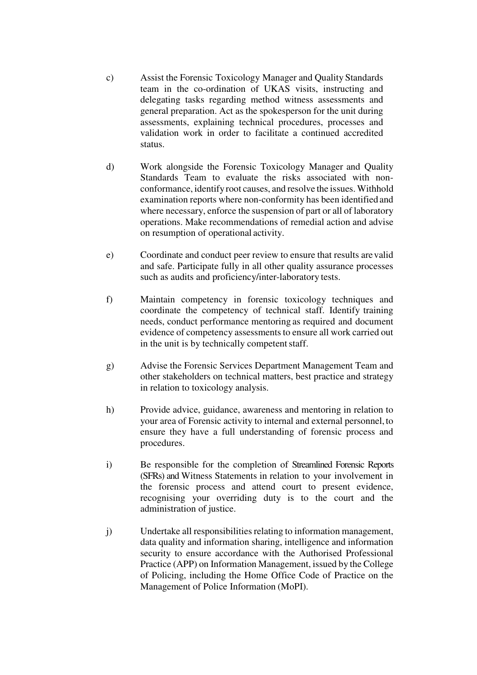- c) Assist the Forensic Toxicology Manager and Quality Standards team in the co-ordination of UKAS visits, instructing and delegating tasks regarding method witness assessments and general preparation. Act as the spokesperson for the unit during assessments, explaining technical procedures, processes and validation work in order to facilitate a continued accredited status.
- d) Work alongside the Forensic Toxicology Manager and Quality Standards Team to evaluate the risks associated with nonconformance, identify root causes, and resolve the issues. Withhold examination reports where non-conformity has been identified and where necessary, enforce the suspension of part or all of laboratory operations. Make recommendations of remedial action and advise on resumption of operational activity.
- e) Coordinate and conduct peer review to ensure that results are valid and safe. Participate fully in all other quality assurance processes such as audits and proficiency/inter-laboratory tests.
- f) Maintain competency in forensic toxicology techniques and coordinate the competency of technical staff. Identify training needs, conduct performance mentoring as required and document evidence of competency assessments to ensure all work carried out in the unit is by technically competent staff.
- g) Advise the Forensic Services Department Management Team and other stakeholders on technical matters, best practice and strategy in relation to toxicology analysis.
- h) Provide advice, guidance, awareness and mentoring in relation to your area of Forensic activity to internal and external personnel, to ensure they have a full understanding of forensic process and procedures.
- i) Be responsible for the completion of Streamlined Forensic Reports (SFRs) and Witness Statements in relation to your involvement in the forensic process and attend court to present evidence, recognising your overriding duty is to the court and the administration of justice.
- j) Undertake all responsibilities relating to information management, data quality and information sharing, intelligence and information security to ensure accordance with the Authorised Professional Practice (APP) on Information Management, issued by the College of Policing, including the Home Office Code of Practice on the Management of Police Information (MoPI).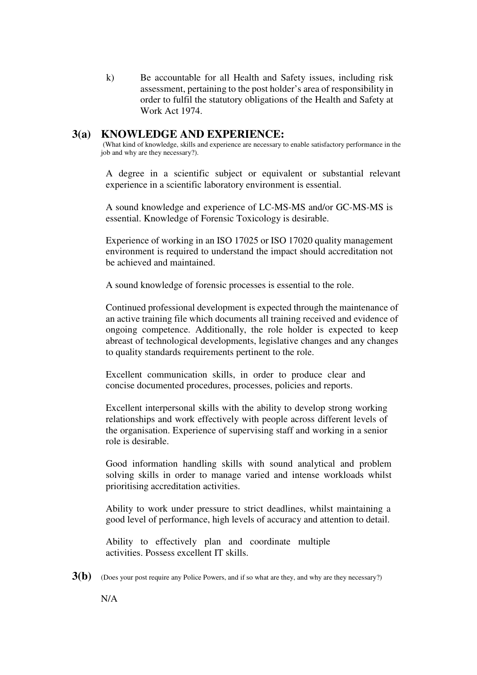k) Be accountable for all Health and Safety issues, including risk assessment, pertaining to the post holder's area of responsibility in order to fulfil the statutory obligations of the Health and Safety at Work Act 1974.

## **3(a) KNOWLEDGE AND EXPERIENCE:**

(What kind of knowledge, skills and experience are necessary to enable satisfactory performance in the job and why are they necessary?).

A degree in a scientific subject or equivalent or substantial relevant experience in a scientific laboratory environment is essential.

A sound knowledge and experience of LC-MS-MS and/or GC-MS-MS is essential. Knowledge of Forensic Toxicology is desirable.

Experience of working in an ISO 17025 or ISO 17020 quality management environment is required to understand the impact should accreditation not be achieved and maintained.

A sound knowledge of forensic processes is essential to the role.

Continued professional development is expected through the maintenance of an active training file which documents all training received and evidence of ongoing competence. Additionally, the role holder is expected to keep abreast of technological developments, legislative changes and any changes to quality standards requirements pertinent to the role.

Excellent communication skills, in order to produce clear and concise documented procedures, processes, policies and reports.

Excellent interpersonal skills with the ability to develop strong working relationships and work effectively with people across different levels of the organisation. Experience of supervising staff and working in a senior role is desirable.

Good information handling skills with sound analytical and problem solving skills in order to manage varied and intense workloads whilst prioritising accreditation activities.

Ability to work under pressure to strict deadlines, whilst maintaining a good level of performance, high levels of accuracy and attention to detail.

Ability to effectively plan and coordinate multiple activities. Possess excellent IT skills.

**3(b)** (Does your post require any Police Powers, and if so what are they, and why are they necessary?)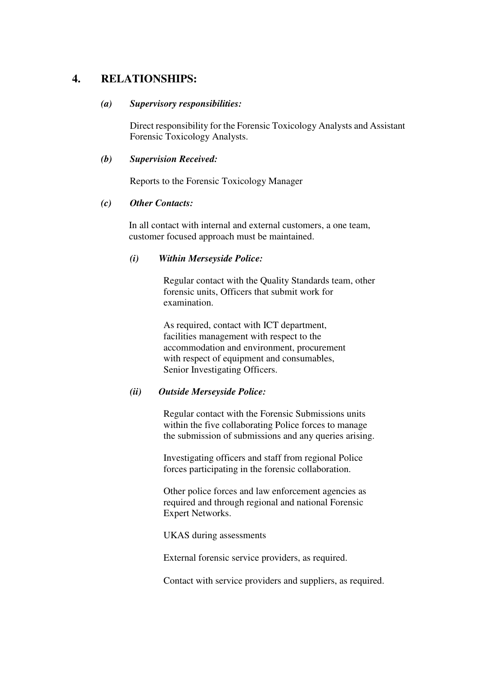# **4. RELATIONSHIPS:**

#### *(a) Supervisory responsibilities:*

Direct responsibility for the Forensic Toxicology Analysts and Assistant Forensic Toxicology Analysts.

#### *(b) Supervision Received:*

Reports to the Forensic Toxicology Manager

#### *(c) Other Contacts:*

In all contact with internal and external customers, a one team, customer focused approach must be maintained.

#### *(i) Within Merseyside Police:*

Regular contact with the Quality Standards team, other forensic units, Officers that submit work for examination.

As required, contact with ICT department, facilities management with respect to the accommodation and environment, procurement with respect of equipment and consumables, Senior Investigating Officers.

#### *(ii) Outside Merseyside Police:*

Regular contact with the Forensic Submissions units within the five collaborating Police forces to manage the submission of submissions and any queries arising.

Investigating officers and staff from regional Police forces participating in the forensic collaboration.

Other police forces and law enforcement agencies as required and through regional and national Forensic Expert Networks.

UKAS during assessments

External forensic service providers, as required.

Contact with service providers and suppliers, as required.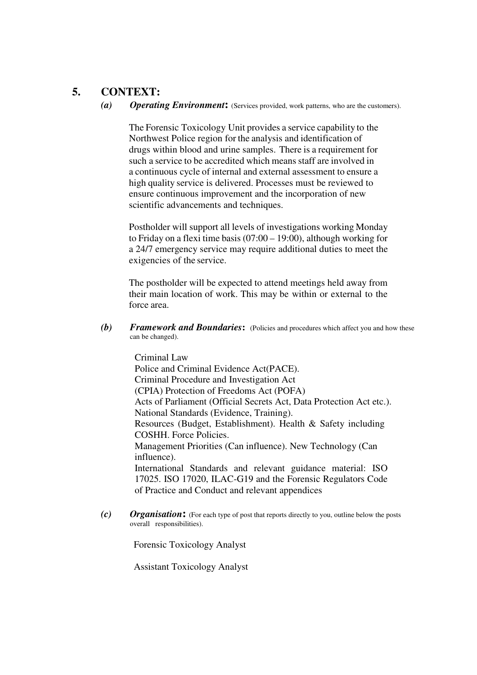# **5. CONTEXT:**

*(a)**Operating Environment***:** (Services provided, work patterns, who are the customers).

The Forensic Toxicology Unit provides a service capability to the Northwest Police region for the analysis and identification of drugs within blood and urine samples. There is a requirement for such a service to be accredited which means staff are involved in a continuous cycle of internal and external assessment to ensure a high quality service is delivered. Processes must be reviewed to ensure continuous improvement and the incorporation of new scientific advancements and techniques.

Postholder will support all levels of investigations working Monday to Friday on a flexi time basis (07:00 – 19:00), although working for a 24/7 emergency service may require additional duties to meet the exigencies of the service.

The postholder will be expected to attend meetings held away from their main location of work. This may be within or external to the force area.

**(b)** Framework and Boundaries: (Policies and procedures which affect you and how these can be changed).

> Criminal Law Police and Criminal Evidence Act(PACE). Criminal Procedure and Investigation Act (CPIA) Protection of Freedoms Act (POFA) Acts of Parliament (Official Secrets Act, Data Protection Act etc.). National Standards (Evidence, Training). Resources (Budget, Establishment). Health & Safety including COSHH. Force Policies. Management Priorities (Can influence). New Technology (Can influence). International Standards and relevant guidance material: ISO 17025. ISO 17020, ILAC-G19 and the Forensic Regulators Code of Practice and Conduct and relevant appendices

*(c) Organisation***:** (For each type of post that reports directly to you, outline below the posts overall responsibilities).

Forensic Toxicology Analyst

Assistant Toxicology Analyst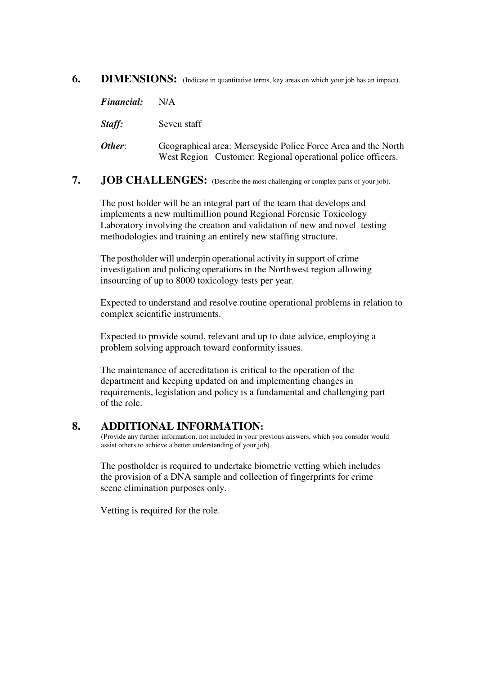## **6. DIMENSIONS:** (Indicate in quantitative terms, key areas on which your job has an impact).

| <i><b>Financial:</b></i> | N/A                                                                                                                          |
|--------------------------|------------------------------------------------------------------------------------------------------------------------------|
| Staff:                   | Seven staff                                                                                                                  |
| Other:                   | Geographical area: Merseyside Police Force Area and the North<br>West Region Customer: Regional operational police officers. |

## **7. JOB CHALLENGES:** (Describe the most challenging or complex parts of your job).

The post holder will be an integral part of the team that develops and implements a new multimillion pound Regional Forensic Toxicology Laboratory involving the creation and validation of new and novel testing methodologies and training an entirely new staffing structure.

The postholder will underpin operational activity in support of crime investigation and policing operations in the Northwest region allowing insourcing of up to 8000 toxicology tests per year.

Expected to understand and resolve routine operational problems in relation to complex scientific instruments.

Expected to provide sound, relevant and up to date advice, employing a problem solving approach toward conformity issues.

The maintenance of accreditation is critical to the operation of the department and keeping updated on and implementing changes in requirements, legislation and policy is a fundamental and challenging part of the role.

#### **8. ADDITIONAL INFORMATION:**

(Provide any further information, not included in your previous answers, which you consider would assist others to achieve a better understanding of your job).

The postholder is required to undertake biometric vetting which includes the provision of a DNA sample and collection of fingerprints for crime scene elimination purposes only.

Vetting is required for the role.